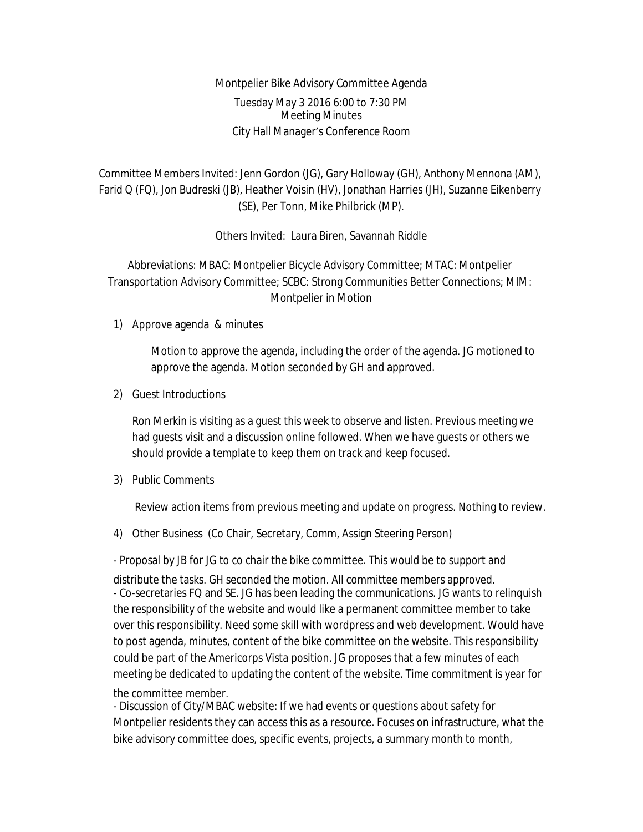Montpelier Bike Advisory Committee Agenda Tuesday May 3 2016 6:00 to 7:30 PM Meeting Minutes City Hall Manager's Conference Room

Committee Members Invited: Jenn Gordon (JG), Gary Holloway (GH), Anthony Mennona (AM), Farid Q (FQ), Jon Budreski (JB), Heather Voisin (HV), Jonathan Harries (JH), Suzanne Eikenberry (SE), Per Tonn, Mike Philbrick (MP).

Others Invited: Laura Biren, Savannah Riddle

Abbreviations: MBAC: Montpelier Bicycle Advisory Committee; MTAC: Montpelier Transportation Advisory Committee; SCBC: Strong Communities Better Connections; MIM: Montpelier in Motion

1) Approve agenda & minutes

Motion to approve the agenda, including the order of the agenda. JG motioned to approve the agenda. Motion seconded by GH and approved.

2) Guest Introductions

Ron Merkin is visiting as a guest this week to observe and listen. Previous meeting we had guests visit and a discussion online followed. When we have guests or others we should provide a template to keep them on track and keep focused.

3) Public Comments

Review action items from previous meeting and update on progress. Nothing to review.

4) Other Business (Co Chair, Secretary, Comm, Assign Steering Person)

- Proposal by JB for JG to co chair the bike committee. This would be to support and

distribute the tasks. GH seconded the motion. All committee members approved. - Co-secretaries FQ and SE. JG has been leading the communications. JG wants to relinquish the responsibility of the website and would like a permanent committee member to take over this responsibility. Need some skill with wordpress and web development. Would have to post agenda, minutes, content of the bike committee on the website. This responsibility could be part of the Americorps Vista position. JG proposes that a few minutes of each meeting be dedicated to updating the content of the website. Time commitment is year for the committee member.

- Discussion of City/MBAC website: If we had events or questions about safety for Montpelier residents they can access this as a resource. Focuses on infrastructure, what the bike advisory committee does, specific events, projects, a summary month to month,